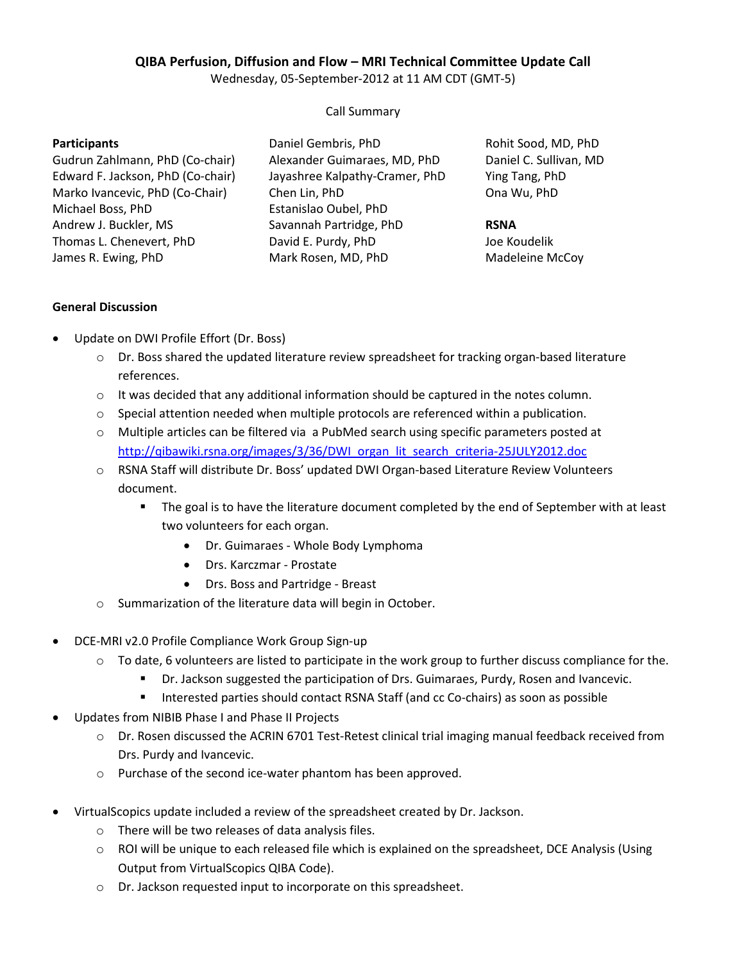### **QIBA Perfusion, Diffusion and Flow – MRI Technical Committee Update Call**

Wednesday, 05-September-2012 at 11 AM CDT (GMT-5)

#### Call Summary

#### **Participants**

Gudrun Zahlmann, PhD (Co-chair) Edward F. Jackson, PhD (Co-chair) Marko Ivancevic, PhD (Co-Chair) Michael Boss, PhD Andrew J. Buckler, MS Thomas L. Chenevert, PhD James R. Ewing, PhD

Daniel Gembris, PhD Alexander Guimaraes, MD, PhD Jayashree Kalpathy-Cramer, PhD Chen Lin, PhD Estanislao Oubel, PhD Savannah Partridge, PhD David E. Purdy, PhD Mark Rosen, MD, PhD

Rohit Sood, MD, PhD Daniel C. Sullivan, MD Ying Tang, PhD Ona Wu, PhD

### **RSNA**

Joe Koudelik Madeleine McCoy

## **General Discussion**

- Update on DWI Profile Effort (Dr. Boss)
	- o Dr. Boss shared the updated literature review spreadsheet for tracking organ-based literature references.
	- $\circ$  It was decided that any additional information should be captured in the notes column.
	- $\circ$  Special attention needed when multiple protocols are referenced within a publication.
	- o Multiple articles can be filtered via a PubMed search using specific parameters posted at http://qibawiki.rsna.org/images/3/36/DWI\_organ\_lit\_search\_criteria-25JULY2012.doc
	- o RSNA Staff will distribute Dr. Boss' updated DWI Organ-based Literature Review Volunteers document.
		- The goal is to have the literature document completed by the end of September with at least two volunteers for each organ.
			- Dr. Guimaraes Whole Body Lymphoma
			- Drs. Karczmar Prostate
			- Drs. Boss and Partridge Breast
	- o Summarization of the literature data will begin in October.
- DCE-MRI v2.0 Profile Compliance Work Group Sign-up
	- $\circ$  To date, 6 volunteers are listed to participate in the work group to further discuss compliance for the.
		- Dr. Jackson suggested the participation of Drs. Guimaraes, Purdy, Rosen and Ivancevic.
		- Interested parties should contact RSNA Staff (and cc Co-chairs) as soon as possible
- Updates from NIBIB Phase I and Phase II Projects
	- o Dr. Rosen discussed the ACRIN 6701 Test-Retest clinical trial imaging manual feedback received from Drs. Purdy and Ivancevic.
	- o Purchase of the second ice-water phantom has been approved.
- VirtualScopics update included a review of the spreadsheet created by Dr. Jackson.
	- o There will be two releases of data analysis files.
	- $\circ$  ROI will be unique to each released file which is explained on the spreadsheet, DCE Analysis (Using Output from VirtualScopics QIBA Code).
	- o Dr. Jackson requested input to incorporate on this spreadsheet.